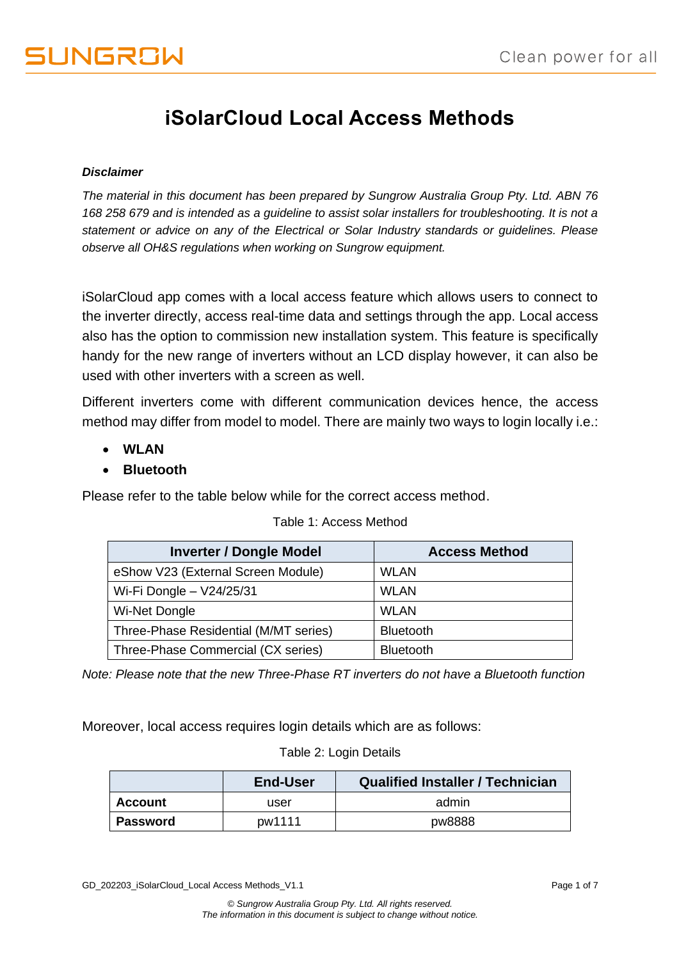## **iSolarCloud Local Access Methods**

#### *Disclaimer*

*The material in this document has been prepared by Sungrow Australia Group Pty. Ltd. ABN 76 168 258 679 and is intended as a guideline to assist solar installers for troubleshooting. It is not a statement or advice on any of the Electrical or Solar Industry standards or guidelines. Please observe all OH&S regulations when working on Sungrow equipment.*

iSolarCloud app comes with a local access feature which allows users to connect to the inverter directly, access real-time data and settings through the app. Local access also has the option to commission new installation system. This feature is specifically handy for the new range of inverters without an LCD display however, it can also be used with other inverters with a screen as well.

Different inverters come with different communication devices hence, the access method may differ from model to model. There are mainly two ways to login locally i.e.:

- **WLAN**
- **Bluetooth**

Please refer to the table below while for the correct access method.

| <b>Inverter / Dongle Model</b>        | <b>Access Method</b> |
|---------------------------------------|----------------------|
| eShow V23 (External Screen Module)    | <b>WLAN</b>          |
| Wi-Fi Dongle - V24/25/31              | <b>WLAN</b>          |
| Wi-Net Dongle                         | <b>WLAN</b>          |
| Three-Phase Residential (M/MT series) | <b>Bluetooth</b>     |
| Three-Phase Commercial (CX series)    | <b>Bluetooth</b>     |

#### Table 1: Access Method

*Note: Please note that the new Three-Phase RT inverters do not have a Bluetooth function*

Moreover, local access requires login details which are as follows:

#### Table 2: Login Details

|                 | End-User | <b>Qualified Installer / Technician</b> |
|-----------------|----------|-----------------------------------------|
| <b>Account</b>  | user     | admin                                   |
| <b>Password</b> | pw1111   | pw8888                                  |

GD\_202203\_iSolarCloud\_Local Access Methods\_V1.1 erastic methods of 7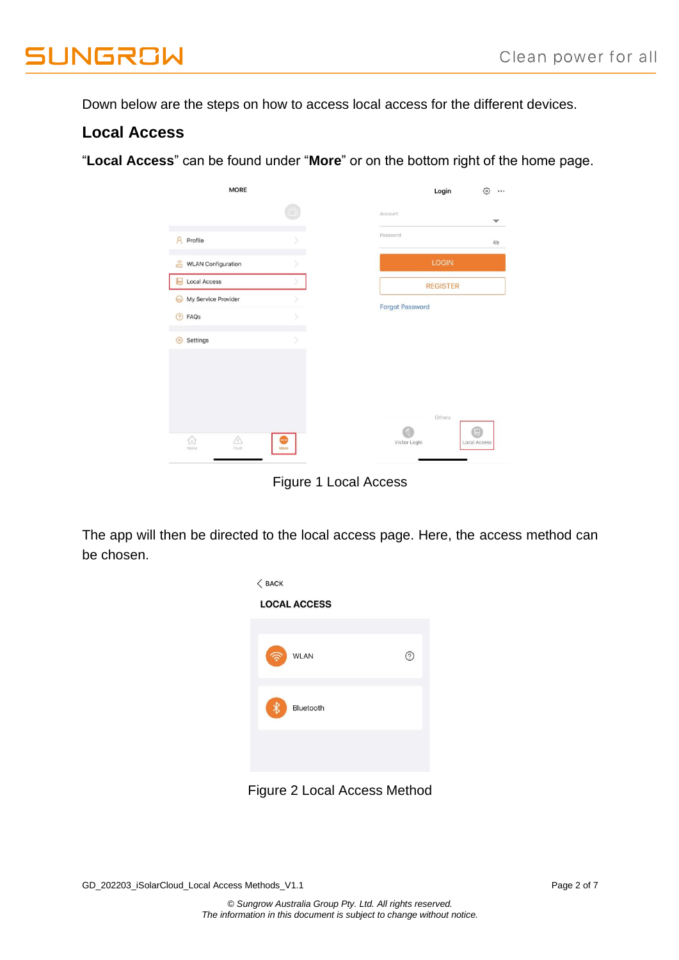**JUNGROW** 

Down below are the steps on how to access local access for the different devices.

### **Local Access**

"**Local Access**" can be found under "**More**" or on the bottom right of the home page.

| <b>MORE</b>                                         |           | Login<br>谷                                      |
|-----------------------------------------------------|-----------|-------------------------------------------------|
|                                                     |           | Account<br>v                                    |
| $\mathcal{R}$<br>Profile                            | S         | Password<br>$\odot$                             |
| $\widehat{\mathbb{G}}$<br><b>WLAN Configuration</b> |           | <b>LOGIN</b>                                    |
| <b>Local Access</b><br>ь                            |           | <b>REGISTER</b>                                 |
| My Service Provider<br>$\odot$                      |           |                                                 |
| FAQs<br>$\circled{?}$                               | s         | <b>Forgot Password</b>                          |
| ⑬<br>Settings                                       | $\delta$  |                                                 |
|                                                     |           |                                                 |
| A<br>6<br>Fault<br>Home                             | œ<br>More | Others<br>(88)<br>Visitor Login<br>Local Access |

Figure 1 Local Access

The app will then be directed to the local access page. Here, the access method can be chosen.



Figure 2 Local Access Method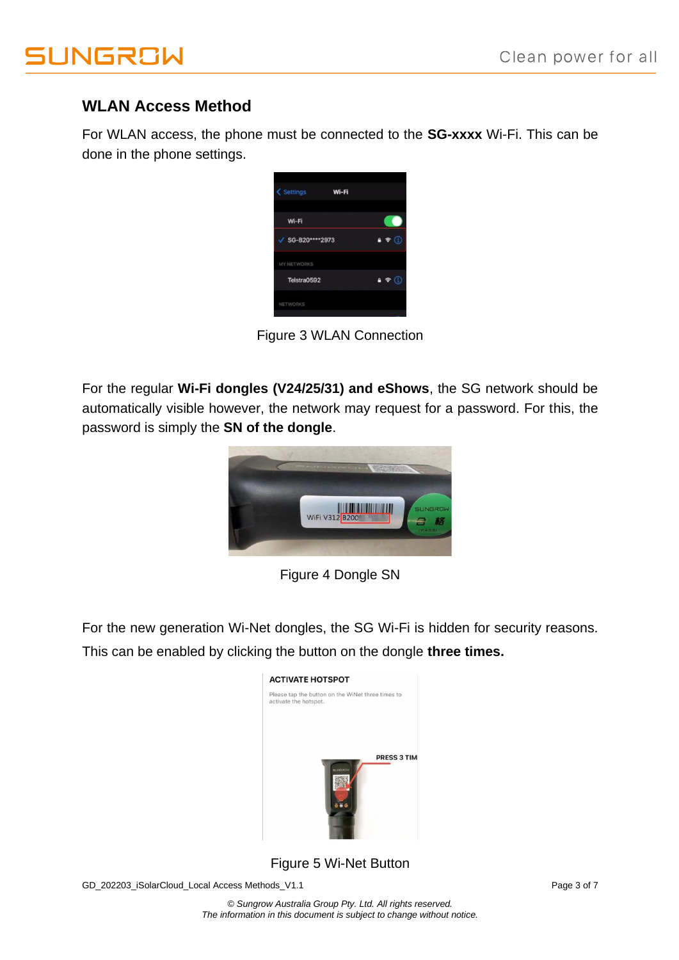

## **WLAN Access Method**

For WLAN access, the phone must be connected to the **SG-xxxx** Wi-Fi. This can be done in the phone settings.

| < Settings<br>Wi-Fi |         |
|---------------------|---------|
| Wi-Fi               |         |
| SG-B20****2973      | 97<br>Œ |
| MY NETWORKS         |         |
| Telstra0592         | 47      |
| <b>NETWORKS</b>     |         |

Figure 3 WLAN Connection

For the regular **Wi-Fi dongles (V24/25/31) and eShows**, the SG network should be automatically visible however, the network may request for a password. For this, the password is simply the **SN of the dongle**.



Figure 4 Dongle SN

For the new generation Wi-Net dongles, the SG Wi-Fi is hidden for security reasons. This can be enabled by clicking the button on the dongle **three times.**



Figure 5 Wi-Net Button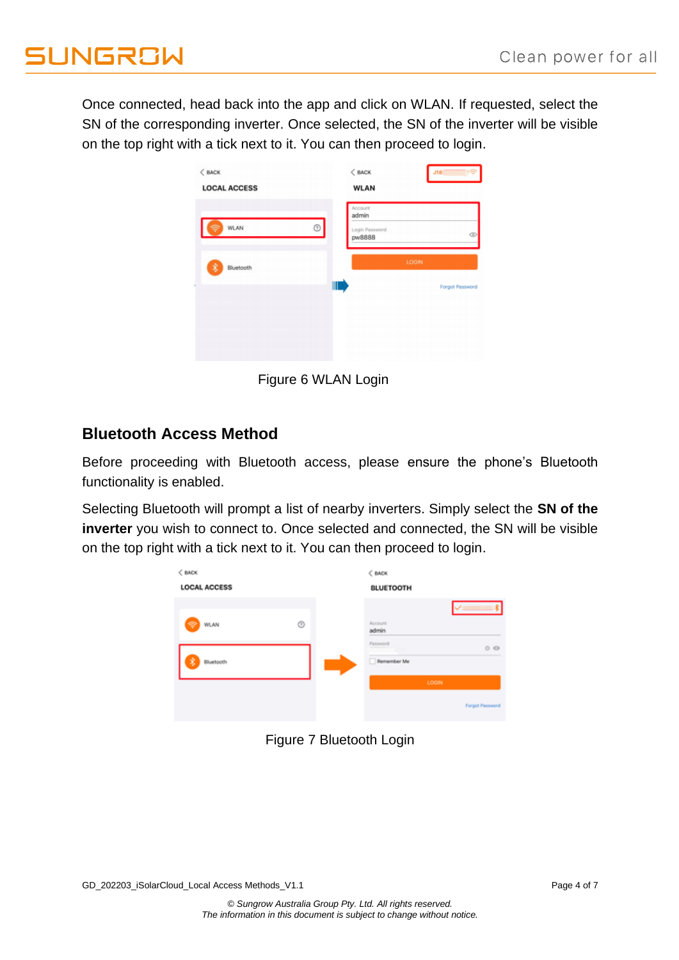# **UNGROW**

Once connected, head back into the app and click on WLAN. If requested, select the SN of the corresponding inverter. Once selected, the SN of the inverter will be visible on the top right with a tick next to it. You can then proceed to login.

| <b>LOCAL ACCESS</b> |            | $<$ BACK<br><b>WLAN</b>                      | J18             |
|---------------------|------------|----------------------------------------------|-----------------|
| WLAN                | $^{\circ}$ | Account<br>admin<br>Login Password<br>pw8888 | ¢               |
| 裳<br>Bluetooth      |            |                                              | LOGIN           |
|                     | Ⅲ          |                                              | Forgot Password |

Figure 6 WLAN Login

## **Bluetooth Access Method**

Before proceeding with Bluetooth access, please ensure the phone's Bluetooth functionality is enabled.

Selecting Bluetooth will prompt a list of nearby inverters. Simply select the **SN of the inverter** you wish to connect to. Once selected and connected, the SN will be visible on the top right with a tick next to it. You can then proceed to login.



Figure 7 Bluetooth Login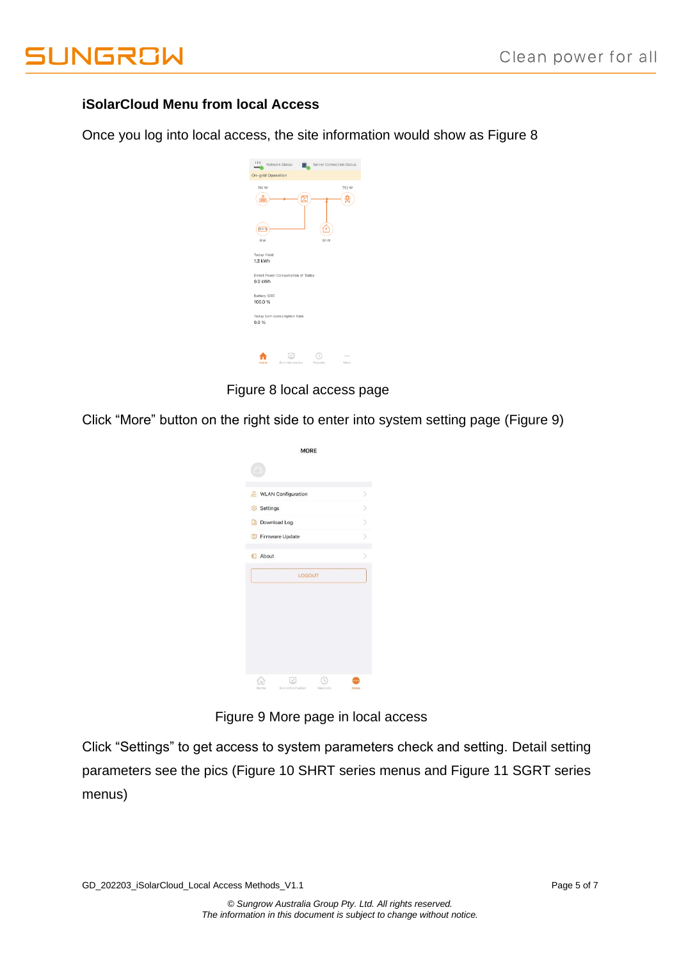

#### **iSolarCloud Menu from local Access**

Once you log into local access, the site information would show as Figure 8



Figure 8 local access page

Click "More" button on the right side to enter into system setting page (Figure 9)

| <b>MORE</b>               |  |
|---------------------------|--|
|                           |  |
| <b>WLAN Configuration</b> |  |
| Settings                  |  |
| Download Log              |  |
| Firmware Update           |  |
| About                     |  |
| LOGOUT                    |  |
|                           |  |
|                           |  |

Figure 9 More page in local access

Click "Settings" to get access to system parameters check and setting. Detail setting parameters see the pics (Figure 10 SHRT series menus and Figure 11 SGRT series menus)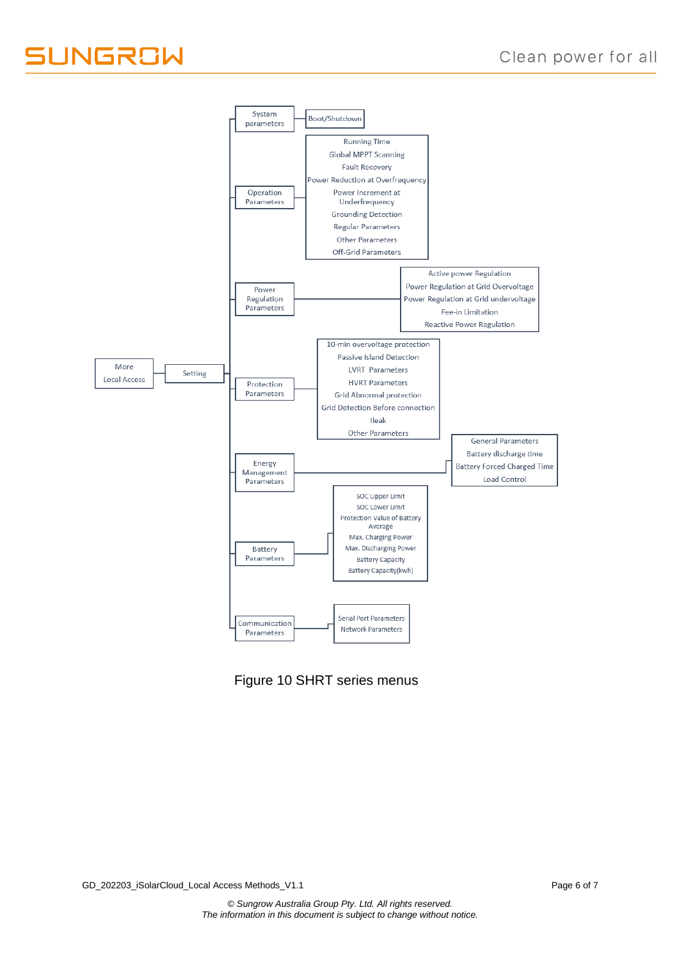

Figure 10 SHRT series menus